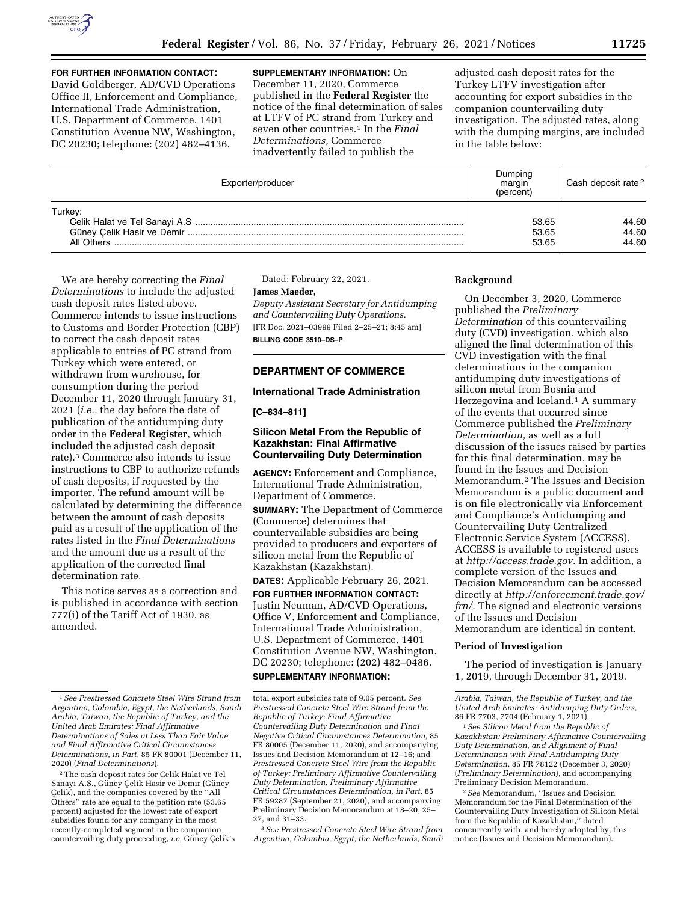

**FOR FURTHER INFORMATION CONTACT:**  David Goldberger, AD/CVD Operations Office II, Enforcement and Compliance, International Trade Administration, U.S. Department of Commerce, 1401 Constitution Avenue NW, Washington, DC 20230; telephone: (202) 482–4136.

**SUPPLEMENTARY INFORMATION:** On December 11, 2020, Commerce published in the **Federal Register** the notice of the final determination of sales at LTFV of PC strand from Turkey and seven other countries.1 In the *Final Determinations,* Commerce inadvertently failed to publish the

adjusted cash deposit rates for the Turkey LTFV investigation after accounting for export subsidies in the companion countervailing duty investigation. The adjusted rates, along with the dumping margins, are included in the table below:

| Exporter/producer     | Dumping<br>margin<br>(percent) | Cash deposit rate <sup>2</sup> |
|-----------------------|--------------------------------|--------------------------------|
| Turkey:<br>All Others | 53.65<br>53.65<br>53.65        | 44.60<br>44.60<br>44.60        |

We are hereby correcting the *Final Determinations* to include the adjusted cash deposit rates listed above. Commerce intends to issue instructions to Customs and Border Protection (CBP) to correct the cash deposit rates applicable to entries of PC strand from Turkey which were entered, or withdrawn from warehouse, for consumption during the period December 11, 2020 through January 31, 2021 (*i.e.,* the day before the date of publication of the antidumping duty order in the **Federal Register**, which included the adjusted cash deposit rate).3 Commerce also intends to issue instructions to CBP to authorize refunds of cash deposits, if requested by the importer. The refund amount will be calculated by determining the difference between the amount of cash deposits paid as a result of the application of the rates listed in the *Final Determinations*  and the amount due as a result of the application of the corrected final determination rate.

This notice serves as a correction and is published in accordance with section 777(i) of the Tariff Act of 1930, as amended.

Dated: February 22, 2021.

#### **James Maeder,**

*Deputy Assistant Secretary for Antidumping and Countervailing Duty Operations.*  [FR Doc. 2021–03999 Filed 2–25–21; 8:45 am] **BILLING CODE 3510–DS–P** 

# **DEPARTMENT OF COMMERCE**

# **International Trade Administration**

**[C–834–811]** 

# **Silicon Metal From the Republic of Kazakhstan: Final Affirmative Countervailing Duty Determination**

**AGENCY:** Enforcement and Compliance, International Trade Administration, Department of Commerce.

**SUMMARY:** The Department of Commerce (Commerce) determines that countervailable subsidies are being provided to producers and exporters of silicon metal from the Republic of Kazakhstan (Kazakhstan).

**DATES:** Applicable February 26, 2021.

**FOR FURTHER INFORMATION CONTACT:**  Justin Neuman, AD/CVD Operations, Office V, Enforcement and Compliance, International Trade Administration, U.S. Department of Commerce, 1401 Constitution Avenue NW, Washington, DC 20230; telephone: (202) 482–0486.

# **SUPPLEMENTARY INFORMATION:**

3*See Prestressed Concrete Steel Wire Strand from Argentina, Colombia, Egypt, the Netherlands, Saudi* 

# **Background**

On December 3, 2020, Commerce published the *Preliminary Determination* of this countervailing duty (CVD) investigation, which also aligned the final determination of this CVD investigation with the final determinations in the companion antidumping duty investigations of silicon metal from Bosnia and Herzegovina and Iceland.<sup>1</sup> A summary of the events that occurred since Commerce published the *Preliminary Determination,* as well as a full discussion of the issues raised by parties for this final determination, may be found in the Issues and Decision Memorandum.2 The Issues and Decision Memorandum is a public document and is on file electronically via Enforcement and Compliance's Antidumping and Countervailing Duty Centralized Electronic Service System (ACCESS). ACCESS is available to registered users at *[http://access.trade.gov.](http://access.trade.gov)* In addition, a complete version of the Issues and Decision Memorandum can be accessed directly at *[http://enforcement.trade.gov/](http://enforcement.trade.gov/frn/)  [frn/.](http://enforcement.trade.gov/frn/)* The signed and electronic versions of the Issues and Decision Memorandum are identical in content.

#### **Period of Investigation**

The period of investigation is January 1, 2019, through December 31, 2019.

1*See Silicon Metal from the Republic of Kazakhstan: Preliminary Affirmative Countervailing Duty Determination, and Alignment of Final Determination with Final Antidumping Duty Determination,* 85 FR 78122 (December 3, 2020) (*Preliminary Determination*), and accompanying Preliminary Decision Memorandum.

2*See* Memorandum, ''Issues and Decision Memorandum for the Final Determination of the Countervailing Duty Investigation of Silicon Metal from the Republic of Kazakhstan,'' dated concurrently with, and hereby adopted by, this notice (Issues and Decision Memorandum).

<sup>1</sup>*See Prestressed Concrete Steel Wire Strand from Argentina, Colombia, Egypt, the Netherlands, Saudi Arabia, Taiwan, the Republic of Turkey, and the United Arab Emirates: Final Affirmative Determinations of Sales at Less Than Fair Value and Final Affirmative Critical Circumstances Determinations, in Part,* 85 FR 80001 (December 11, 2020) (*Final Determinations*).

<sup>2</sup>The cash deposit rates for Celik Halat ve Tel Sanayi A.S., Güney Çelik Hasir ve Demir (Güney Çelik), and the companies covered by the "All Others'' rate are equal to the petition rate (53.65 percent) adjusted for the lowest rate of export subsidies found for any company in the most recently-completed segment in the companion countervailing duty proceeding, *i.e, Güney Çelik's* 

total export subsidies rate of 9.05 percent. *See Prestressed Concrete Steel Wire Strand from the Republic of Turkey: Final Affirmative Countervailing Duty Determination and Final Negative Critical Circumstances Determination,* 85 FR 80005 (December 11, 2020), and accompanying Issues and Decision Memorandum at 12–16; and *Prestressed Concrete Steel Wire from the Republic of Turkey: Preliminary Affirmative Countervailing Duty Determination, Preliminary Affirmative Critical Circumstances Determination, in Part,* 85 FR 59287 (September 21, 2020), and accompanying Preliminary Decision Memorandum at 18–20, 25– 27, and 31–33.

*Arabia, Taiwan, the Republic of Turkey, and the United Arab Emirates: Antidumping Duty Orders,*  86 FR 7703, 7704 (February 1, 2021).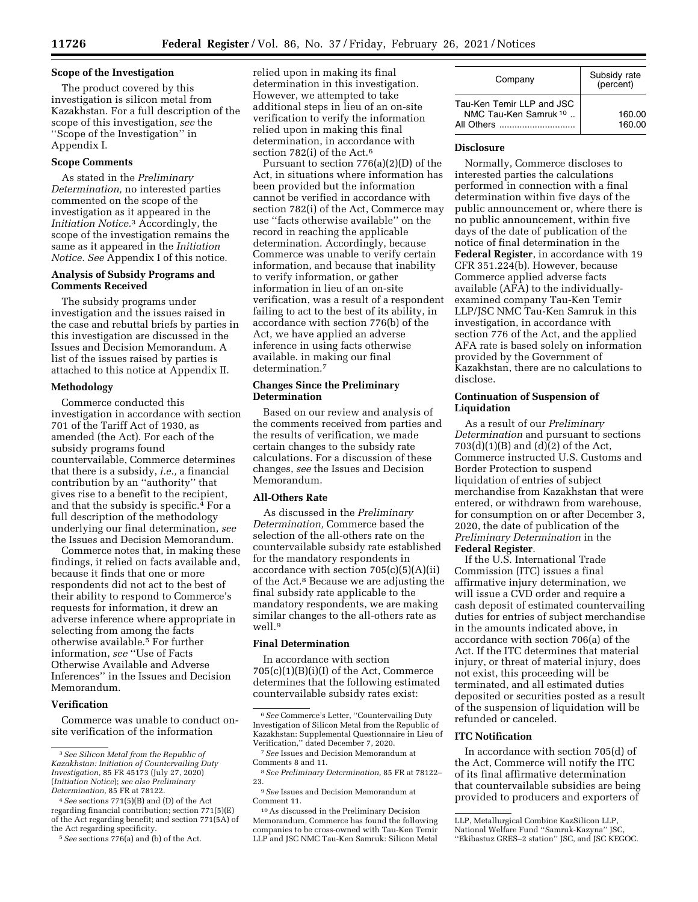# **Scope of the Investigation**

The product covered by this investigation is silicon metal from Kazakhstan. For a full description of the scope of this investigation, *see* the ''Scope of the Investigation'' in Appendix I.

# **Scope Comments**

As stated in the *Preliminary Determination,* no interested parties commented on the scope of the investigation as it appeared in the *Initiation Notice.*3 Accordingly, the scope of the investigation remains the same as it appeared in the *Initiation Notice. See* Appendix I of this notice.

# **Analysis of Subsidy Programs and Comments Received**

The subsidy programs under investigation and the issues raised in the case and rebuttal briefs by parties in this investigation are discussed in the Issues and Decision Memorandum. A list of the issues raised by parties is attached to this notice at Appendix II.

#### **Methodology**

Commerce conducted this investigation in accordance with section 701 of the Tariff Act of 1930, as amended (the Act). For each of the subsidy programs found countervailable, Commerce determines that there is a subsidy, *i.e.,* a financial contribution by an ''authority'' that gives rise to a benefit to the recipient, and that the subsidy is specific.<sup>4</sup> For a full description of the methodology underlying our final determination, *see*  the Issues and Decision Memorandum.

Commerce notes that, in making these findings, it relied on facts available and, because it finds that one or more respondents did not act to the best of their ability to respond to Commerce's requests for information, it drew an adverse inference where appropriate in selecting from among the facts otherwise available.5 For further information, *see* ''Use of Facts Otherwise Available and Adverse Inferences'' in the Issues and Decision Memorandum.

## **Verification**

Commerce was unable to conduct onsite verification of the information

relied upon in making its final determination in this investigation. However, we attempted to take additional steps in lieu of an on-site verification to verify the information relied upon in making this final determination, in accordance with section 782(i) of the Act.<sup>6</sup>

Pursuant to section 776(a)(2)(D) of the Act, in situations where information has been provided but the information cannot be verified in accordance with section 782(i) of the Act, Commerce may use ''facts otherwise available'' on the record in reaching the applicable determination. Accordingly, because Commerce was unable to verify certain information, and because that inability to verify information, or gather information in lieu of an on-site verification, was a result of a respondent failing to act to the best of its ability, in accordance with section 776(b) of the Act, we have applied an adverse inference in using facts otherwise available. in making our final determination.7

# **Changes Since the Preliminary Determination**

Based on our review and analysis of the comments received from parties and the results of verification, we made certain changes to the subsidy rate calculations. For a discussion of these changes, *see* the Issues and Decision Memorandum.

# **All-Others Rate**

As discussed in the *Preliminary Determination,* Commerce based the selection of the all-others rate on the countervailable subsidy rate established for the mandatory respondents in accordance with section  $705(c)(5)(A)(ii)$ of the Act.8 Because we are adjusting the final subsidy rate applicable to the mandatory respondents, we are making similar changes to the all-others rate as well.9

# **Final Determination**

In accordance with section 705(c)(1)(B)(i)(I) of the Act, Commerce determines that the following estimated countervailable subsidy rates exist:

9*See* Issues and Decision Memorandum at Comment 11.

10As discussed in the Preliminary Decision Memorandum, Commerce has found the following companies to be cross-owned with Tau-Ken Temir LLP and JSC NMC Tau-Ken Samruk: Silicon Metal

| Company                                                                     | Subsidy rate<br>(percent) |
|-----------------------------------------------------------------------------|---------------------------|
| Tau-Ken Temir LLP and JSC<br>NMC Tau-Ken Samruk <sup>10</sup><br>All Others | 160.00<br>160.00          |

### **Disclosure**

Normally, Commerce discloses to interested parties the calculations performed in connection with a final determination within five days of the public announcement or, where there is no public announcement, within five days of the date of publication of the notice of final determination in the **Federal Register**, in accordance with 19 CFR 351.224(b). However, because Commerce applied adverse facts available (AFA) to the individuallyexamined company Tau-Ken Temir LLP/JSC NMC Tau-Ken Samruk in this investigation, in accordance with section 776 of the Act, and the applied AFA rate is based solely on information provided by the Government of Kazakhstan, there are no calculations to disclose.

# **Continuation of Suspension of Liquidation**

As a result of our *Preliminary Determination* and pursuant to sections 703(d)(1)(B) and (d)(2) of the Act, Commerce instructed U.S. Customs and Border Protection to suspend liquidation of entries of subject merchandise from Kazakhstan that were entered, or withdrawn from warehouse, for consumption on or after December 3, 2020, the date of publication of the *Preliminary Determination* in the **Federal Register**.

If the U.S. International Trade Commission (ITC) issues a final affirmative injury determination, we will issue a CVD order and require a cash deposit of estimated countervailing duties for entries of subject merchandise in the amounts indicated above, in accordance with section 706(a) of the Act. If the ITC determines that material injury, or threat of material injury, does not exist, this proceeding will be terminated, and all estimated duties deposited or securities posted as a result of the suspension of liquidation will be refunded or canceled.

#### **ITC Notification**

In accordance with section 705(d) of the Act, Commerce will notify the ITC of its final affirmative determination that countervailable subsidies are being provided to producers and exporters of

<sup>3</sup>*See Silicon Metal from the Republic of Kazakhstan: Initiation of Countervailing Duty Investigation,* 85 FR 45173 (July 27, 2020) (*Initiation Notice*); *see also Preliminary Determination,* 85 FR at 78122.

<sup>4</sup>*See* sections 771(5)(B) and (D) of the Act regarding financial contribution; section 771(5)(E) of the Act regarding benefit; and section 771(5A) of the Act regarding specificity.

<sup>5</sup>*See* sections 776(a) and (b) of the Act.

<sup>6</sup>*See* Commerce's Letter, ''Countervailing Duty Investigation of Silicon Metal from the Republic of Kazakhstan: Supplemental Questionnaire in Lieu of Verification,'' dated December 7, 2020.

<sup>7</sup>*See* Issues and Decision Memorandum at Comments 8 and 11.

<sup>8</sup>*See Preliminary Determination,* 85 FR at 78122– 23.

LLP, Metallurgical Combine KazSilicon LLP, National Welfare Fund ''Samruk-Kazyna'' JSC, ''Ekibastuz GRES–2 station'' JSC, and JSC KEGOC.